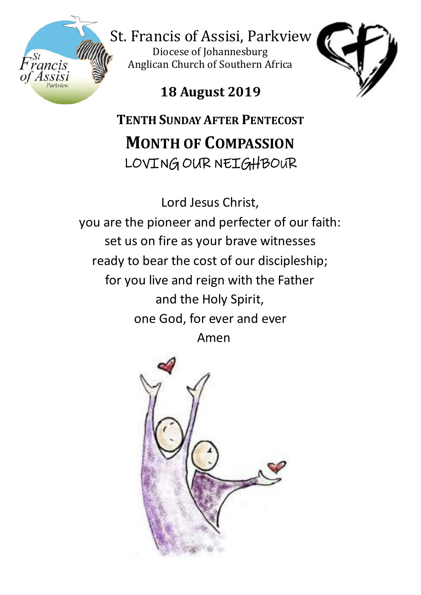

St. Francis of Assisi, Parkview

Diocese of Johannesburg Anglican Church of Southern Africa



**18 August 2019**

**TENTH SUNDAY AFTER PENTECOST MONTH OF COMPASSION** LOVING OUR NEIGHBOUR

Lord Jesus Christ,

you are the pioneer and perfecter of our faith: set us on fire as your brave witnesses ready to bear the cost of our discipleship; for you live and reign with the Father and the Holy Spirit, one God, for ever and ever Amen

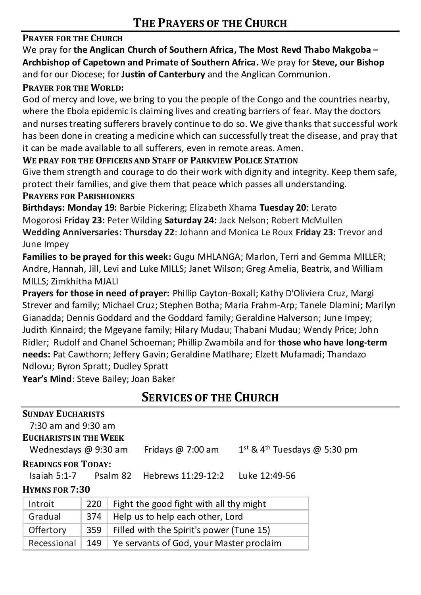# **PRAYER FOR THE CHURCH**

We pray for **the Anglican Church of Southern Africa, The Most Revd Thabo Makgoba – Archbishop of Capetown and Primate of Southern Africa.** We pray for **Steve, our Bishop**  and for our Diocese; for **Justin of Canterbury** and the Anglican Communion.

#### **PRAYER FOR THE WORLD:**

God of mercy and love, we bring to you the people of the Congo and the countries nearby, where the Ebola epidemic is claiming lives and creating barriers of fear. May the doctors and nurses treating sufferers bravely continue to do so. We give thanks that successful work has been done in creating a medicine which can successfully treat the disease, and pray that it can be made available to all sufferers, even in remote areas. Amen.

**WE PRAY FOR THE OFFICERS AND STAFF OF PARKVIEW POLICE STATION**

Give them strength and courage to do their work with dignity and integrity. Keep them safe, protect their families, and give them that peace which passes all understanding.

## **PRAYERS FOR PARISHIONERS**

**Birthdays: Monday 19:** Barbie Pickering; Elizabeth Xhama **Tuesday 20**: Lerato Mogorosi **Friday 23:** Peter Wilding **Saturday 24:** Jack Nelson; Robert McMullen **Wedding Anniversaries: Thursday 22**: Johann and Monica Le Roux **Friday 23:** Trevor and June Impey

**Families to be prayed for this week:** Gugu MHLANGA; Marlon, Terri and Gemma MILLER; Andre, Hannah, Jill, Levi and Luke MILLS; Janet Wilson; Greg Amelia, Beatrix, and William MILLS; Zimkhitha MJALI

**Prayers for those in need of prayer:** Phillip Cayton-Boxall; Kathy D'Oliviera Cruz, Margi Strever and family; Michael Cruz; Stephen Botha; Maria Frahm-Arp; Tanele Dlamini; Marilyn Gianadda; Dennis Goddard and the Goddard family; Geraldine Halverson; June Impey; Judith Kinnaird; the Mgeyane family; Hilary Mudau; Thabani Mudau; Wendy Price; John Ridler; Rudolf and Chanel Schoeman; Phillip Zwambila and for **those who have long-term needs:** Pat Cawthorn; Jeffery Gavin; Geraldine Matlhare; Elzett Mufamadi; Thandazo Ndlovu; Byron Spratt; Dudley Spratt

**Year's Mind**: Steve Bailey; Joan Baker

# **SERVICES OF THE CHURCH**

| <b>SUNDAY EUCHARISTS</b>                                         |     |                                          |                                            |  |  |
|------------------------------------------------------------------|-----|------------------------------------------|--------------------------------------------|--|--|
| $7:30$ am and $9:30$ am                                          |     |                                          |                                            |  |  |
| <b>EUCHARISTS IN THE WEEK</b>                                    |     |                                          |                                            |  |  |
| Wednesdays $@9:30$ am                                            |     | Fridays $@7:00$ am                       | $1st$ & 4 <sup>th</sup> Tuesdays @ 5:30 pm |  |  |
| <b>READINGS FOR TODAY:</b>                                       |     |                                          |                                            |  |  |
| Isaiah 5:1-7.<br>Psalm 82<br>Hebrews 11:29-12:2<br>Luke 12:49-56 |     |                                          |                                            |  |  |
| <b>HYMNS FOR 7:30</b>                                            |     |                                          |                                            |  |  |
| Introit                                                          | 220 | Fight the good fight with all thy might  |                                            |  |  |
| Gradual                                                          | 374 | Help us to help each other, Lord         |                                            |  |  |
| Offertory                                                        | 359 | Filled with the Spirit's power (Tune 15) |                                            |  |  |
| Recessional                                                      | 149 | Ye servants of God, your Master proclaim |                                            |  |  |
|                                                                  |     |                                          |                                            |  |  |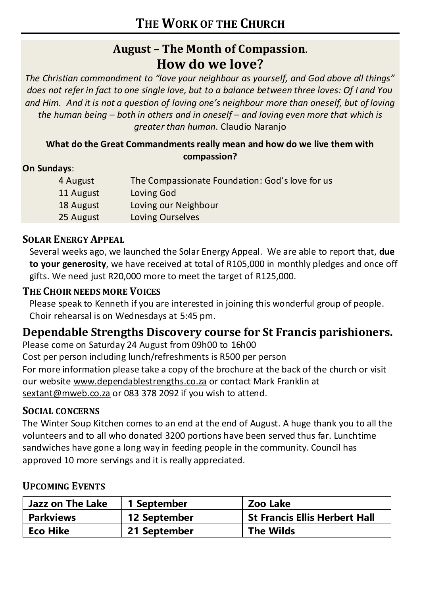# **August – The Month of Compassion**. **How do we love?**

*The Christian commandment to "love your neighbour as yourself, and God above all things" does not refer in fact to one single love, but to a balance between three loves: Of I and You and Him. And it is not a question of loving one's neighbour more than oneself, but of loving the human being – both in others and in oneself – and loving even more that which is greater than human*. Claudio Naranjo

### **What do the Great Commandments really mean and how do we live them with compassion?**

## **On Sundays**:

| 4 August  | The Compassionate Foundation: God's love for us |
|-----------|-------------------------------------------------|
| 11 August | Loving God                                      |
| 18 August | Loving our Neighbour                            |
| 25 August | Loving Ourselves                                |

## **SOLAR ENERGY APPEAL**

Several weeks ago, we launched the Solar Energy Appeal. We are able to report that, **due to your generosity**, we have received at total of R105,000 in monthly pledges and once off gifts. We need just R20,000 more to meet the target of R125,000.

# **THE CHOIR NEEDS MORE VOICES**

Please speak to Kenneth if you are interested in joining this wonderful group of people. Choir rehearsal is on Wednesdays at 5:45 pm.

# **Dependable Strengths Discovery course for St Francis parishioners.**

Please come on Saturday 24 August from 09h00 to 16h00

Cost per person including lunch/refreshments is R500 per person

For more information please take a copy of the brochure at the back of the church or visit our website [www.dependablestrengths.co.za](http://www.dependablestrengths.co.za/) or contact Mark Franklin at [sextant@mweb.co.za](mailto:sextant@mweb.co.za) or 083 378 2092 if you wish to attend.

### **SOCIAL CONCERNS**

The Winter Soup Kitchen comes to an end at the end of August. A huge thank you to all the volunteers and to all who donated 3200 portions have been served thus far. Lunchtime sandwiches have gone a long way in feeding people in the community. Council has approved 10 more servings and it is really appreciated.

### **UPCOMING EVENTS**

| Jazz on The Lake | 1 September         | Zoo Lake                             |
|------------------|---------------------|--------------------------------------|
| Parkviews        | <b>12 September</b> | <b>St Francis Ellis Herbert Hall</b> |
| Eco Hike         | 21 September        | <b>The Wilds</b>                     |